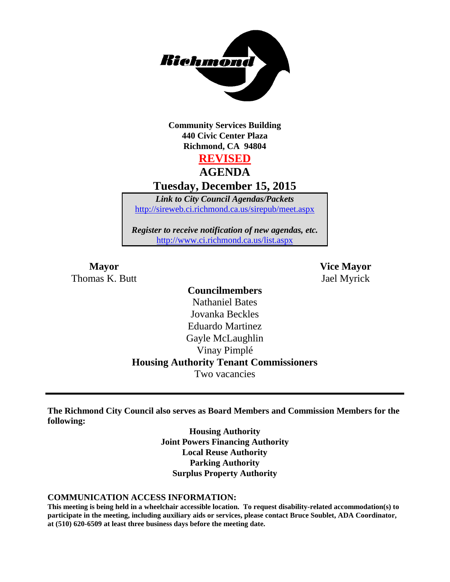

**Community Services Building 440 Civic Center Plaza Richmond, CA 94804**

**REVISED**

**AGENDA**

**Tuesday, December 15, 2015**

*Link to City Council Agendas/Packets* <http://sireweb.ci.richmond.ca.us/sirepub/meet.aspx>

*Register to receive notification of new agendas, etc.* <http://www.ci.richmond.ca.us/list.aspx>

**Mayor Vice Mayor** Thomas K. Butt Jael Myrick

# **Councilmembers**

Nathaniel Bates Jovanka Beckles Eduardo Martinez Gayle McLaughlin Vinay Pimplé **Housing Authority Tenant Commissioners** Two vacancies

**The Richmond City Council also serves as Board Members and Commission Members for the following:**

> **Housing Authority Joint Powers Financing Authority Local Reuse Authority Parking Authority Surplus Property Authority**

#### **COMMUNICATION ACCESS INFORMATION:**

**This meeting is being held in a wheelchair accessible location. To request disability-related accommodation(s) to participate in the meeting, including auxiliary aids or services, please contact Bruce Soublet, ADA Coordinator, at (510) 620-6509 at least three business days before the meeting date.**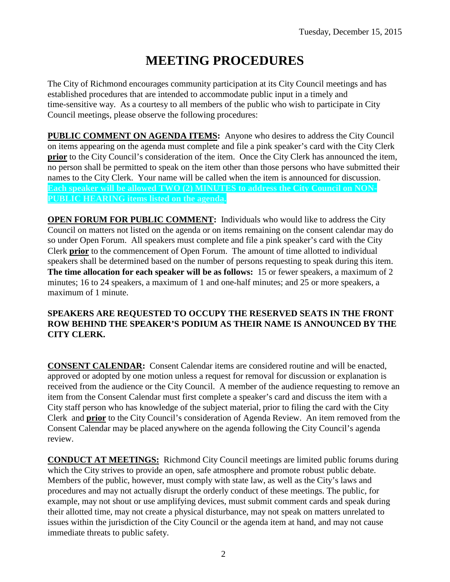# **MEETING PROCEDURES**

The City of Richmond encourages community participation at its City Council meetings and has established procedures that are intended to accommodate public input in a timely and time-sensitive way. As a courtesy to all members of the public who wish to participate in City Council meetings, please observe the following procedures:

**PUBLIC COMMENT ON AGENDA ITEMS:** Anyone who desires to address the City Council on items appearing on the agenda must complete and file a pink speaker's card with the City Clerk **prior** to the City Council's consideration of the item. Once the City Clerk has announced the item, no person shall be permitted to speak on the item other than those persons who have submitted their names to the City Clerk. Your name will be called when the item is announced for discussion. **Each speaker will be allowed TWO (2) MINUTES to address the City Council on NON-PUBLIC HEARING items listed on the agenda.**

**OPEN FORUM FOR PUBLIC COMMENT:** Individuals who would like to address the City Council on matters not listed on the agenda or on items remaining on the consent calendar may do so under Open Forum. All speakers must complete and file a pink speaker's card with the City Clerk **prior** to the commencement of Open Forum. The amount of time allotted to individual speakers shall be determined based on the number of persons requesting to speak during this item. **The time allocation for each speaker will be as follows:** 15 or fewer speakers, a maximum of 2 minutes; 16 to 24 speakers, a maximum of 1 and one-half minutes; and 25 or more speakers, a maximum of 1 minute.

#### **SPEAKERS ARE REQUESTED TO OCCUPY THE RESERVED SEATS IN THE FRONT ROW BEHIND THE SPEAKER'S PODIUM AS THEIR NAME IS ANNOUNCED BY THE CITY CLERK.**

**CONSENT CALENDAR:** Consent Calendar items are considered routine and will be enacted, approved or adopted by one motion unless a request for removal for discussion or explanation is received from the audience or the City Council. A member of the audience requesting to remove an item from the Consent Calendar must first complete a speaker's card and discuss the item with a City staff person who has knowledge of the subject material, prior to filing the card with the City Clerk and **prior** to the City Council's consideration of Agenda Review. An item removed from the Consent Calendar may be placed anywhere on the agenda following the City Council's agenda review.

**CONDUCT AT MEETINGS:** Richmond City Council meetings are limited public forums during which the City strives to provide an open, safe atmosphere and promote robust public debate. Members of the public, however, must comply with state law, as well as the City's laws and procedures and may not actually disrupt the orderly conduct of these meetings. The public, for example, may not shout or use amplifying devices, must submit comment cards and speak during their allotted time, may not create a physical disturbance, may not speak on matters unrelated to issues within the jurisdiction of the City Council or the agenda item at hand, and may not cause immediate threats to public safety.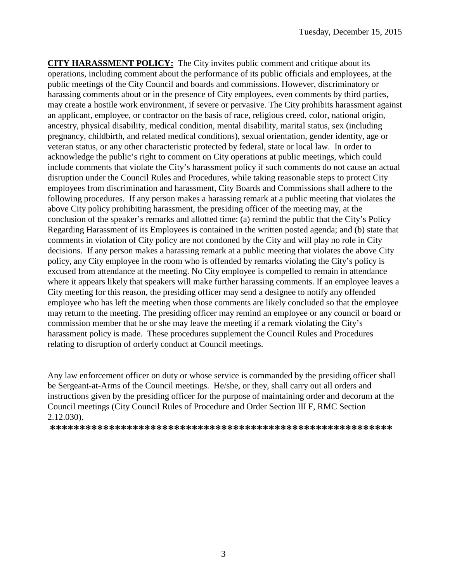**CITY HARASSMENT POLICY:** The City invites public comment and critique about its operations, including comment about the performance of its public officials and employees, at the public meetings of the City Council and boards and commissions. However, discriminatory or harassing comments about or in the presence of City employees, even comments by third parties, may create a hostile work environment, if severe or pervasive. The City prohibits harassment against an applicant, employee, or contractor on the basis of race, religious creed, color, national origin, ancestry, physical disability, medical condition, mental disability, marital status, sex (including pregnancy, childbirth, and related medical conditions), sexual orientation, gender identity, age or veteran status, or any other characteristic protected by federal, state or local law. In order to acknowledge the public's right to comment on City operations at public meetings, which could include comments that violate the City's harassment policy if such comments do not cause an actual disruption under the Council Rules and Procedures, while taking reasonable steps to protect City employees from discrimination and harassment, City Boards and Commissions shall adhere to the following procedures. If any person makes a harassing remark at a public meeting that violates the above City policy prohibiting harassment, the presiding officer of the meeting may, at the conclusion of the speaker's remarks and allotted time: (a) remind the public that the City's Policy Regarding Harassment of its Employees is contained in the written posted agenda; and (b) state that comments in violation of City policy are not condoned by the City and will play no role in City decisions. If any person makes a harassing remark at a public meeting that violates the above City policy, any City employee in the room who is offended by remarks violating the City's policy is excused from attendance at the meeting. No City employee is compelled to remain in attendance where it appears likely that speakers will make further harassing comments. If an employee leaves a City meeting for this reason, the presiding officer may send a designee to notify any offended employee who has left the meeting when those comments are likely concluded so that the employee may return to the meeting. The presiding officer may remind an employee or any council or board or commission member that he or she may leave the meeting if a remark violating the City's harassment policy is made. These procedures supplement the Council Rules and Procedures relating to disruption of orderly conduct at Council meetings.

Any law enforcement officer on duty or whose service is commanded by the presiding officer shall be Sergeant-at-Arms of the Council meetings. He/she, or they, shall carry out all orders and instructions given by the presiding officer for the purpose of maintaining order and decorum at the Council meetings (City Council Rules of Procedure and Order Section III F, RMC Section 2.12.030).

**\*\*\*\*\*\*\*\*\*\*\*\*\*\*\*\*\*\*\*\*\*\*\*\*\*\*\*\*\*\*\*\*\*\*\*\*\*\*\*\*\*\*\*\*\*\*\*\*\*\*\*\*\*\*\*\*\*\***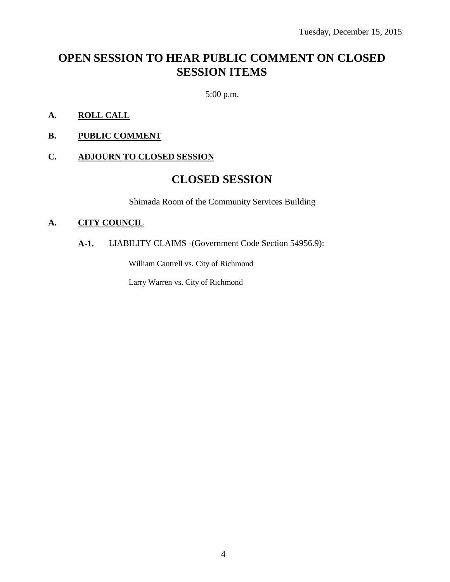# **OPEN SESSION TO HEAR PUBLIC COMMENT ON CLOSED SESSION ITEMS**

5:00 p.m.

- **A. ROLL CALL**
- **B. PUBLIC COMMENT**

#### **C. ADJOURN TO CLOSED SESSION**

## **CLOSED SESSION**

Shimada Room of the Community Services Building

#### **A. CITY COUNCIL**

### **A-1.** LIABILITY CLAIMS -(Government Code Section 54956.9):

William Cantrell vs. City of Richmond

Larry Warren vs. City of Richmond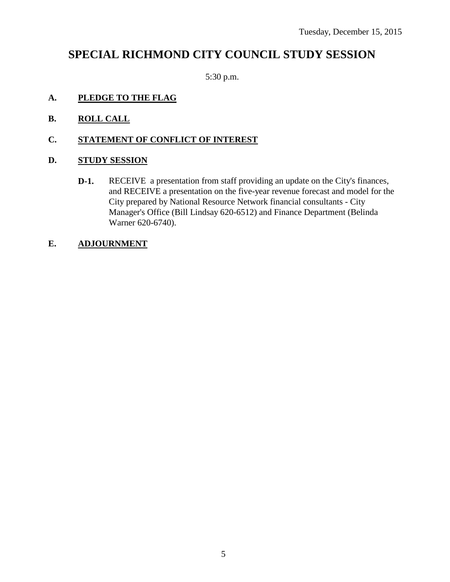# **SPECIAL RICHMOND CITY COUNCIL STUDY SESSION**

5:30 p.m.

- **A. PLEDGE TO THE FLAG**
- **B. ROLL CALL**
- **C. STATEMENT OF CONFLICT OF INTEREST**

#### **D. STUDY SESSION**

**D-1.** RECEIVE a presentation from staff providing an update on the City's finances, and RECEIVE a presentation on the five-year revenue forecast and model for the City prepared by National Resource Network financial consultants - City Manager's Office (Bill Lindsay 620-6512) and Finance Department (Belinda Warner 620-6740).

#### **E. ADJOURNMENT**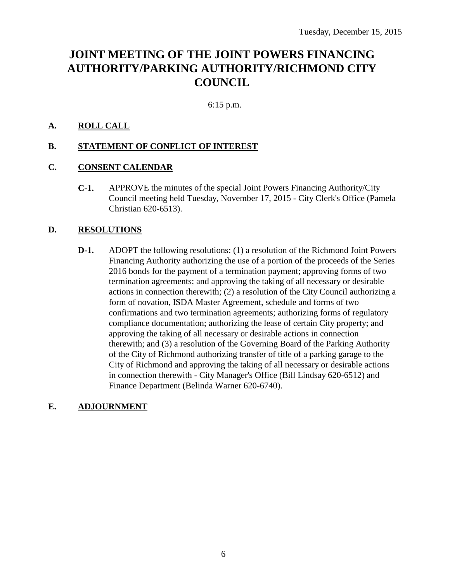# **JOINT MEETING OF THE JOINT POWERS FINANCING AUTHORITY/PARKING AUTHORITY/RICHMOND CITY COUNCIL**

6:15 p.m.

#### **A. ROLL CALL**

#### **B. STATEMENT OF CONFLICT OF INTEREST**

#### **C. CONSENT CALENDAR**

**C-1.** APPROVE the minutes of the special Joint Powers Financing Authority/City Council meeting held Tuesday, November 17, 2015 - City Clerk's Office (Pamela Christian 620-6513).

#### **D. RESOLUTIONS**

**D-1.** ADOPT the following resolutions: (1) a resolution of the Richmond Joint Powers Financing Authority authorizing the use of a portion of the proceeds of the Series 2016 bonds for the payment of a termination payment; approving forms of two termination agreements; and approving the taking of all necessary or desirable actions in connection therewith; (2) a resolution of the City Council authorizing a form of novation, ISDA Master Agreement, schedule and forms of two confirmations and two termination agreements; authorizing forms of regulatory compliance documentation; authorizing the lease of certain City property; and approving the taking of all necessary or desirable actions in connection therewith; and (3) a resolution of the Governing Board of the Parking Authority of the City of Richmond authorizing transfer of title of a parking garage to the City of Richmond and approving the taking of all necessary or desirable actions in connection therewith - City Manager's Office (Bill Lindsay 620-6512) and Finance Department (Belinda Warner 620-6740).

#### **E. ADJOURNMENT**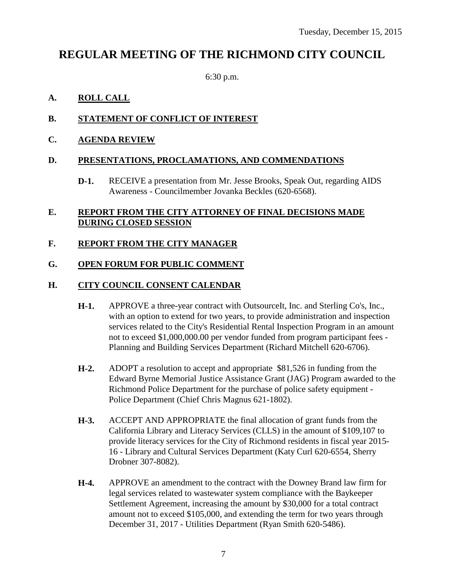# **REGULAR MEETING OF THE RICHMOND CITY COUNCIL**

6:30 p.m.

#### **A. ROLL CALL**

#### **B. STATEMENT OF CONFLICT OF INTEREST**

**C. AGENDA REVIEW**

#### **D. PRESENTATIONS, PROCLAMATIONS, AND COMMENDATIONS**

**D-1.** RECEIVE a presentation from Mr. Jesse Brooks, Speak Out, regarding AIDS Awareness - Councilmember Jovanka Beckles (620-6568).

#### **E. REPORT FROM THE CITY ATTORNEY OF FINAL DECISIONS MADE DURING CLOSED SESSION**

#### **F. REPORT FROM THE CITY MANAGER**

#### **G. OPEN FORUM FOR PUBLIC COMMENT**

#### **H. CITY COUNCIL CONSENT CALENDAR**

- **H-1.** APPROVE a three-year contract with OutsourceIt, Inc. and Sterling Co's, Inc., with an option to extend for two years, to provide administration and inspection services related to the City's Residential Rental Inspection Program in an amount not to exceed \$1,000,000.00 per vendor funded from program participant fees - Planning and Building Services Department (Richard Mitchell 620-6706).
- **H-2.** ADOPT a resolution to accept and appropriate \$81,526 in funding from the Edward Byrne Memorial Justice Assistance Grant (JAG) Program awarded to the Richmond Police Department for the purchase of police safety equipment - Police Department (Chief Chris Magnus 621-1802).
- **H-3.** ACCEPT AND APPROPRIATE the final allocation of grant funds from the California Library and Literacy Services (CLLS) in the amount of \$109,107 to provide literacy services for the City of Richmond residents in fiscal year 2015- 16 - Library and Cultural Services Department (Katy Curl 620-6554, Sherry Drobner 307-8082).
- **H-4.** APPROVE an amendment to the contract with the Downey Brand law firm for legal services related to wastewater system compliance with the Baykeeper Settlement Agreement, increasing the amount by \$30,000 for a total contract amount not to exceed \$105,000, and extending the term for two years through December 31, 2017 - Utilities Department (Ryan Smith 620-5486).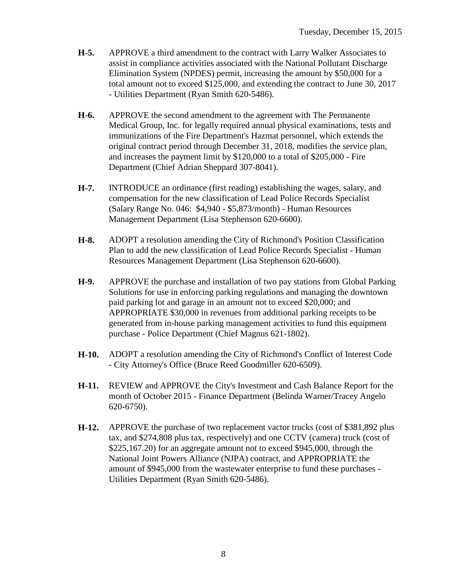- **H-5.** APPROVE a third amendment to the contract with Larry Walker Associates to assist in compliance activities associated with the National Pollutant Discharge Elimination System (NPDES) permit, increasing the amount by \$50,000 for a total amount not to exceed \$125,000, and extending the contract to June 30, 2017 - Utilities Department (Ryan Smith 620-5486).
- **H-6.** APPROVE the second amendment to the agreement with The Permanente Medical Group, Inc. for legally required annual physical examinations, tests and immunizations of the Fire Department's Hazmat personnel, which extends the original contract period through December 31, 2018, modifies the service plan, and increases the payment limit by \$120,000 to a total of \$205,000 - Fire Department (Chief Adrian Sheppard 307-8041).
- **H-7.** INTRODUCE an ordinance (first reading) establishing the wages, salary, and compensation for the new classification of Lead Police Records Specialist (Salary Range No. 046: \$4,940 - \$5,873/month) - Human Resources Management Department (Lisa Stephenson 620-6600).
- **H-8.** ADOPT a resolution amending the City of Richmond's Position Classification Plan to add the new classification of Lead Police Records Specialist - Human Resources Management Department (Lisa Stephenson 620-6600).
- **H-9.** APPROVE the purchase and installation of two pay stations from Global Parking Solutions for use in enforcing parking regulations and managing the downtown paid parking lot and garage in an amount not to exceed \$20,000; and APPROPRIATE \$30,000 in revenues from additional parking receipts to be generated from in-house parking management activities to fund this equipment purchase - Police Department (Chief Magnus 621-1802).
- **H-10.** ADOPT a resolution amending the City of Richmond's Conflict of Interest Code - City Attorney's Office (Bruce Reed Goodmiller 620-6509).
- **H-11.** REVIEW and APPROVE the City's Investment and Cash Balance Report for the month of October 2015 - Finance Department (Belinda Warner/Tracey Angelo 620-6750).
- **H-12.** APPROVE the purchase of two replacement vactor trucks (cost of \$381,892 plus tax, and \$274,808 plus tax, respectively) and one CCTV (camera) truck (cost of \$225,167.20) for an aggregate amount not to exceed \$945,000, through the National Joint Powers Alliance (NJPA) contract, and APPROPRIATE the amount of \$945,000 from the wastewater enterprise to fund these purchases - Utilities Department (Ryan Smith 620-5486).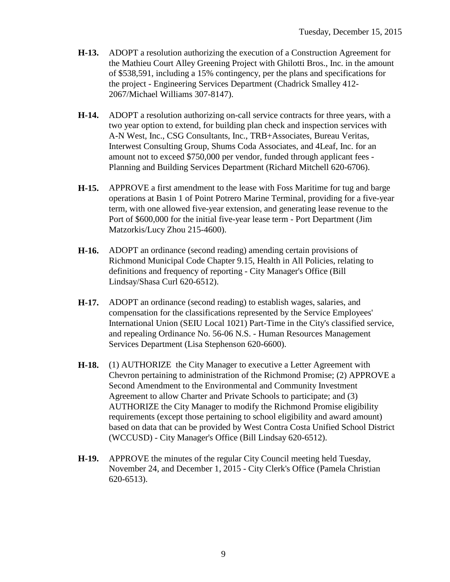- **H-13.** ADOPT a resolution authorizing the execution of a Construction Agreement for the Mathieu Court Alley Greening Project with Ghilotti Bros., Inc. in the amount of \$538,591, including a 15% contingency, per the plans and specifications for the project - Engineering Services Department (Chadrick Smalley 412- 2067/Michael Williams 307-8147).
- **H-14.** ADOPT a resolution authorizing on-call service contracts for three years, with a two year option to extend, for building plan check and inspection services with A-N West, Inc., CSG Consultants, Inc., TRB+Associates, Bureau Veritas, Interwest Consulting Group, Shums Coda Associates, and 4Leaf, Inc. for an amount not to exceed \$750,000 per vendor, funded through applicant fees - Planning and Building Services Department (Richard Mitchell 620-6706).
- **H-15.** APPROVE a first amendment to the lease with Foss Maritime for tug and barge operations at Basin 1 of Point Potrero Marine Terminal, providing for a five-year term, with one allowed five-year extension, and generating lease revenue to the Port of \$600,000 for the initial five-year lease term - Port Department (Jim Matzorkis/Lucy Zhou 215-4600).
- **H-16.** ADOPT an ordinance (second reading) amending certain provisions of Richmond Municipal Code Chapter 9.15, Health in All Policies, relating to definitions and frequency of reporting - City Manager's Office (Bill Lindsay/Shasa Curl 620-6512).
- **H-17.** ADOPT an ordinance (second reading) to establish wages, salaries, and compensation for the classifications represented by the Service Employees' International Union (SEIU Local 1021) Part-Time in the City's classified service, and repealing Ordinance No. 56-06 N.S. - Human Resources Management Services Department (Lisa Stephenson 620-6600).
- **H-18.** (1) AUTHORIZE the City Manager to executive a Letter Agreement with Chevron pertaining to administration of the Richmond Promise; (2) APPROVE a Second Amendment to the Environmental and Community Investment Agreement to allow Charter and Private Schools to participate; and (3) AUTHORIZE the City Manager to modify the Richmond Promise eligibility requirements (except those pertaining to school eligibility and award amount) based on data that can be provided by West Contra Costa Unified School District (WCCUSD) - City Manager's Office (Bill Lindsay 620-6512).
- **H-19.** APPROVE the minutes of the regular City Council meeting held Tuesday, November 24, and December 1, 2015 - City Clerk's Office (Pamela Christian 620-6513).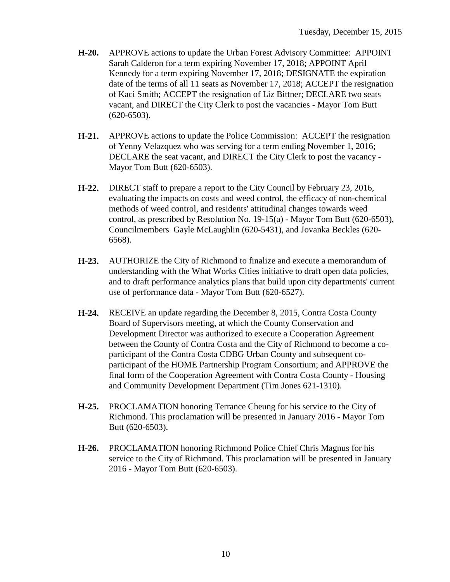- **H-20.** APPROVE actions to update the Urban Forest Advisory Committee: APPOINT Sarah Calderon for a term expiring November 17, 2018; APPOINT April Kennedy for a term expiring November 17, 2018; DESIGNATE the expiration date of the terms of all 11 seats as November 17, 2018; ACCEPT the resignation of Kaci Smith; ACCEPT the resignation of Liz Bittner; DECLARE two seats vacant, and DIRECT the City Clerk to post the vacancies - Mayor Tom Butt (620-6503).
- **H-21.** APPROVE actions to update the Police Commission: ACCEPT the resignation of Yenny Velazquez who was serving for a term ending November 1, 2016; DECLARE the seat vacant, and DIRECT the City Clerk to post the vacancy - Mayor Tom Butt (620-6503).
- **H-22.** DIRECT staff to prepare a report to the City Council by February 23, 2016, evaluating the impacts on costs and weed control, the efficacy of non-chemical methods of weed control, and residents' attitudinal changes towards weed control, as prescribed by Resolution No. 19-15(a) - Mayor Tom Butt (620-6503), Councilmembers Gayle McLaughlin (620-5431), and Jovanka Beckles (620- 6568).
- **H-23.** AUTHORIZE the City of Richmond to finalize and execute a memorandum of understanding with the What Works Cities initiative to draft open data policies, and to draft performance analytics plans that build upon city departments' current use of performance data - Mayor Tom Butt (620-6527).
- **H-24.** RECEIVE an update regarding the December 8, 2015, Contra Costa County Board of Supervisors meeting, at which the County Conservation and Development Director was authorized to execute a Cooperation Agreement between the County of Contra Costa and the City of Richmond to become a coparticipant of the Contra Costa CDBG Urban County and subsequent coparticipant of the HOME Partnership Program Consortium; and APPROVE the final form of the Cooperation Agreement with Contra Costa County - Housing and Community Development Department (Tim Jones 621-1310).
- **H-25.** PROCLAMATION honoring Terrance Cheung for his service to the City of Richmond. This proclamation will be presented in January 2016 - Mayor Tom Butt (620-6503).
- **H-26.** PROCLAMATION honoring Richmond Police Chief Chris Magnus for his service to the City of Richmond. This proclamation will be presented in January 2016 - Mayor Tom Butt (620-6503).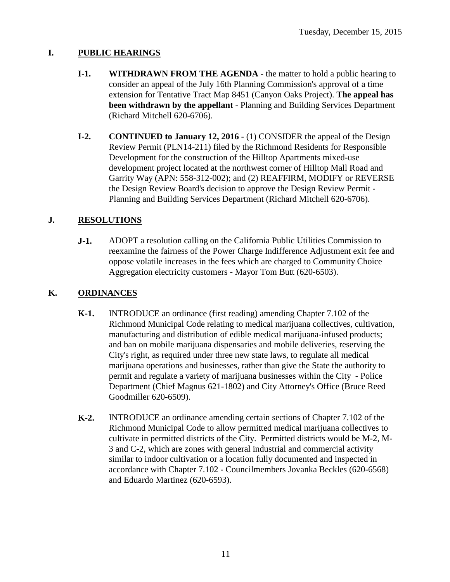### **I. PUBLIC HEARINGS**

- **I-1. WITHDRAWN FROM THE AGENDA** the matter to hold a public hearing to consider an appeal of the July 16th Planning Commission's approval of a time extension for Tentative Tract Map 8451 (Canyon Oaks Project). **The appeal has been withdrawn by the appellant** - Planning and Building Services Department (Richard Mitchell 620-6706).
- **I-2. CONTINUED to January 12, 2016** (1) CONSIDER the appeal of the Design Review Permit (PLN14-211) filed by the Richmond Residents for Responsible Development for the construction of the Hilltop Apartments mixed-use development project located at the northwest corner of Hilltop Mall Road and Garrity Way (APN: 558-312-002); and (2) REAFFIRM, MODIFY or REVERSE the Design Review Board's decision to approve the Design Review Permit - Planning and Building Services Department (Richard Mitchell 620-6706).

### **J. RESOLUTIONS**

**J-1.** ADOPT a resolution calling on the California Public Utilities Commission to reexamine the fairness of the Power Charge Indifference Adjustment exit fee and oppose volatile increases in the fees which are charged to Community Choice Aggregation electricity customers - Mayor Tom Butt (620-6503).

### **K. ORDINANCES**

- **K-1.** INTRODUCE an ordinance (first reading) amending Chapter 7.102 of the Richmond Municipal Code relating to medical marijuana collectives, cultivation, manufacturing and distribution of edible medical marijuana-infused products; and ban on mobile marijuana dispensaries and mobile deliveries, reserving the City's right, as required under three new state laws, to regulate all medical marijuana operations and businesses, rather than give the State the authority to permit and regulate a variety of marijuana businesses within the City - Police Department (Chief Magnus 621-1802) and City Attorney's Office (Bruce Reed Goodmiller 620-6509).
- **K-2.** INTRODUCE an ordinance amending certain sections of Chapter 7.102 of the Richmond Municipal Code to allow permitted medical marijuana collectives to cultivate in permitted districts of the City. Permitted districts would be M-2, M-3 and C-2, which are zones with general industrial and commercial activity similar to indoor cultivation or a location fully documented and inspected in accordance with Chapter 7.102 - Councilmembers Jovanka Beckles (620-6568) and Eduardo Martinez (620-6593).